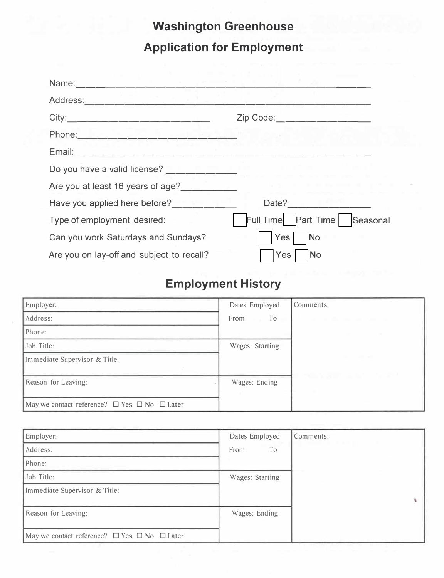## **Washington Greenhouse Application for Employment**

| Name:                                     |                                          |
|-------------------------------------------|------------------------------------------|
| Address:                                  |                                          |
| City:                                     | Zip Code:                                |
| Phone:                                    |                                          |
| Email:                                    |                                          |
| Do you have a valid license?              |                                          |
| Are you at least 16 years of age?         | the contract of the contract of the con- |
| Have you applied here before?             | Date?                                    |
| Type of employment desired:               | Full Time Part Time Seasonal             |
| Can you work Saturdays and Sundays?       | Yes<br><b>No</b>                         |
| Are you on lay-off and subject to recall? | Yes<br><b>No</b>                         |

## **Employment History**

| Employer:                                                   | Dates Employed  | Comments:                  |
|-------------------------------------------------------------|-----------------|----------------------------|
| Address:                                                    | From To         | and the first service con- |
| Phone:                                                      |                 |                            |
| Job Title:                                                  | Wages: Starting |                            |
| Immediate Supervisor & Title:                               |                 |                            |
| Reason for Leaving:                                         | Wages: Ending   |                            |
| May we contact reference? $\Box$ Yes $\Box$ No $\Box$ Later |                 |                            |

| Employer:                                                   | Dates Employed  | Comments: |
|-------------------------------------------------------------|-----------------|-----------|
| Address:                                                    | To<br>From      |           |
| Phone:                                                      |                 |           |
| Job Title:                                                  | Wages: Starting |           |
| Immediate Supervisor & Title:                               |                 |           |
| Reason for Leaving:                                         | Wages: Ending   |           |
| May we contact reference? $\Box$ Yes $\Box$ No $\Box$ Later |                 |           |